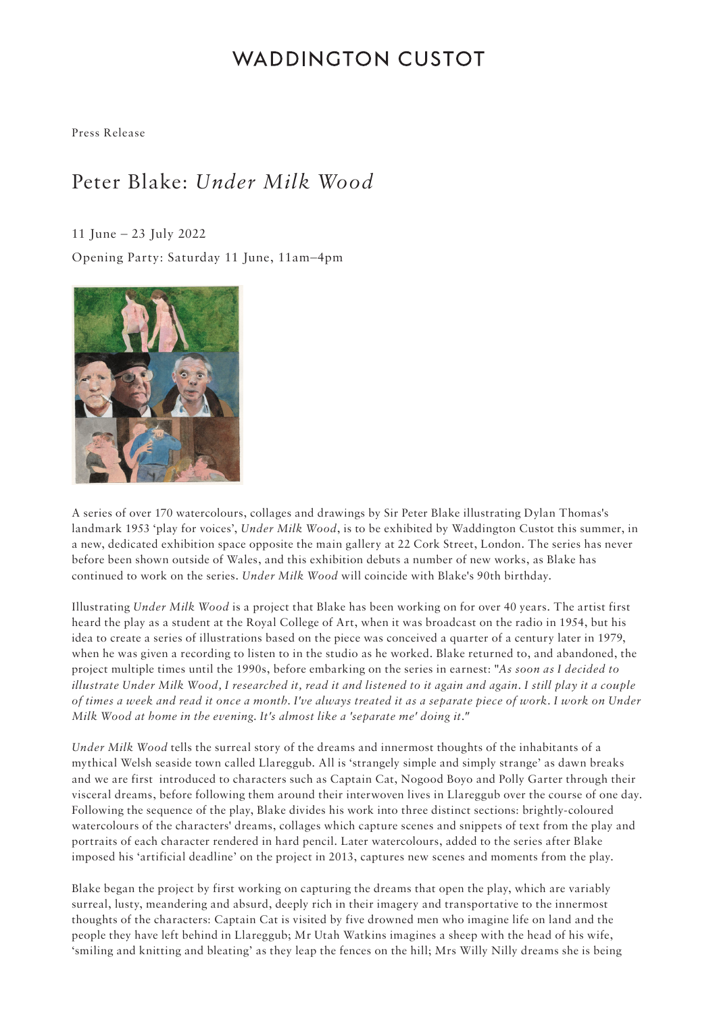# **WADDINGTON CUSTOT**

Press Release

# Peter Blake: *Under Milk Wood*

11 June – 23 July 2022 Opening Party: Saturday 11 June, 11am–4pm



A series of over 170 watercolours, collages and drawings by Sir Peter Blake illustrating Dylan Thomas's landmark 1953 'play for voices', *Under Milk Wood*, is to be exhibited by Waddington Custot this summer, in a new, dedicated exhibition space opposite the main gallery at 22 Cork Street, London. The series has never before been shown outside of Wales, and this exhibition debuts a number of new works, as Blake has continued to work on the series. *Under Milk Wood* will coincide with Blake's 90th birthday.

Illustrating *Under Milk Wood* is a project that Blake has been working on for over 40 years. The artist first heard the play as a student at the Royal College of Art, when it was broadcast on the radio in 1954, but his idea to create a series of illustrations based on the piece was conceived a quarter of a century later in 1979, when he was given a recording to listen to in the studio as he worked. Blake returned to, and abandoned, the project multiple times until the 1990s, before embarking on the series in earnest: "*As soon as I decided to illustrate Under Milk Wood, I researched it, read it and listened to it again and again. I still play it a couple of times a week and read it once a month. I've always treated it as a separate piece of work. I work on Under Milk Wood at home in the evening. It's almost like a 'separate me' doing it."*

*Under Milk Wood* tells the surreal story of the dreams and innermost thoughts of the inhabitants of a mythical Welsh seaside town called Llareggub. All is 'strangely simple and simply strange' as dawn breaks and we are first introduced to characters such as Captain Cat, Nogood Boyo and Polly Garter through their visceral dreams, before following them around their interwoven lives in Llareggub over the course of one day. Following the sequence of the play, Blake divides his work into three distinct sections: brightly-coloured watercolours of the characters' dreams, collages which capture scenes and snippets of text from the play and portraits of each character rendered in hard pencil. Later watercolours, added to the series after Blake imposed his 'artificial deadline' on the project in 2013, captures new scenes and moments from the play.

Blake began the project by first working on capturing the dreams that open the play, which are variably surreal, lusty, meandering and absurd, deeply rich in their imagery and transportative to the innermost thoughts of the characters: Captain Cat is visited by five drowned men who imagine life on land and the people they have left behind in Llareggub; Mr Utah Watkins imagines a sheep with the head of his wife, 'smiling and knitting and bleating' as they leap the fences on the hill; Mrs Willy Nilly dreams she is being